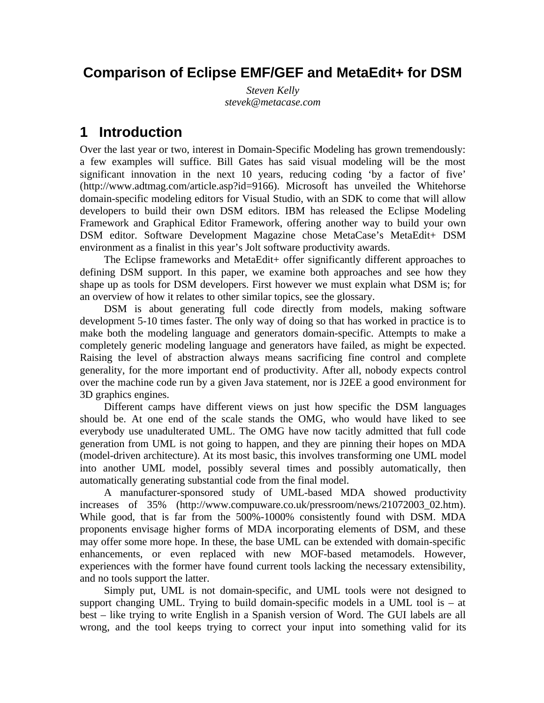## **Comparison of Eclipse EMF/GEF and MetaEdit+ for DSM**

*Steven Kelly stevek@metacase.com*

## **1 Introduction**

Over the last year or two, interest in Domain-Specific Modeling has grown tremendously: a few examples will suffice. Bill Gates has said visual modeling will be the most significant innovation in the next 10 years, reducing coding 'by a factor of five' (http://www.adtmag.com/article.asp?id=9166). Microsoft has unveiled the Whitehorse domain-specific modeling editors for Visual Studio, with an SDK to come that will allow developers to build their own DSM editors. IBM has released the Eclipse Modeling Framework and Graphical Editor Framework, offering another way to build your own DSM editor. Software Development Magazine chose MetaCase's MetaEdit+ DSM environment as a finalist in this year's Jolt software productivity awards.

The Eclipse frameworks and MetaEdit+ offer significantly different approaches to defining DSM support. In this paper, we examine both approaches and see how they shape up as tools for DSM developers. First however we must explain what DSM is; for an overview of how it relates to other similar topics, see the glossary.

DSM is about generating full code directly from models, making software development 5-10 times faster. The only way of doing so that has worked in practice is to make both the modeling language and generators domain-specific. Attempts to make a completely generic modeling language and generators have failed, as might be expected. Raising the level of abstraction always means sacrificing fine control and complete generality, for the more important end of productivity. After all, nobody expects control over the machine code run by a given Java statement, nor is J2EE a good environment for 3D graphics engines.

Different camps have different views on just how specific the DSM languages should be. At one end of the scale stands the OMG, who would have liked to see everybody use unadulterated UML. The OMG have now tacitly admitted that full code generation from UML is not going to happen, and they are pinning their hopes on MDA (model-driven architecture). At its most basic, this involves transforming one UML model into another UML model, possibly several times and possibly automatically, then automatically generating substantial code from the final model.

A manufacturer-sponsored study of UML-based MDA showed productivity increases of 35% (http://www.compuware.co.uk/pressroom/news/21072003\_02.htm). While good, that is far from the 500%-1000% consistently found with DSM. MDA proponents envisage higher forms of MDA incorporating elements of DSM, and these may offer some more hope. In these, the base UML can be extended with domain-specific enhancements, or even replaced with new MOF-based metamodels. However, experiences with the former have found current tools lacking the necessary extensibility, and no tools support the latter.

Simply put, UML is not domain-specific, and UML tools were not designed to support changing UML. Trying to build domain-specific models in a UML tool is – at best – like trying to write English in a Spanish version of Word. The GUI labels are all wrong, and the tool keeps trying to correct your input into something valid for its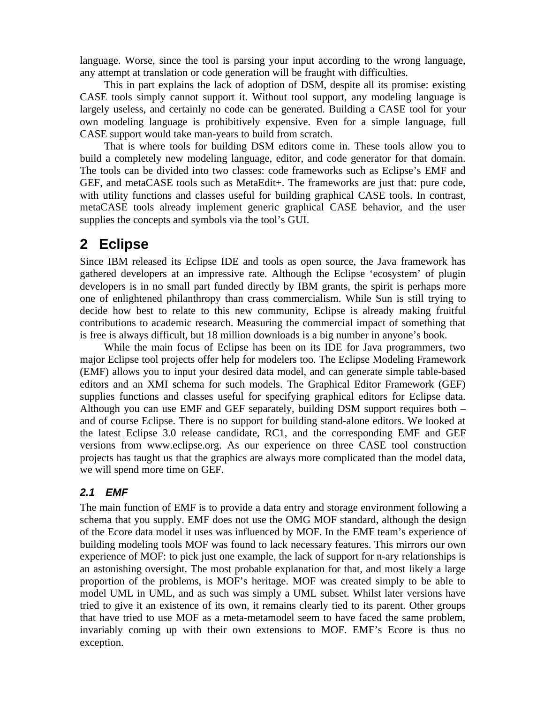language. Worse, since the tool is parsing your input according to the wrong language, any attempt at translation or code generation will be fraught with difficulties.

This in part explains the lack of adoption of DSM, despite all its promise: existing CASE tools simply cannot support it. Without tool support, any modeling language is largely useless, and certainly no code can be generated. Building a CASE tool for your own modeling language is prohibitively expensive. Even for a simple language, full CASE support would take man-years to build from scratch.

That is where tools for building DSM editors come in. These tools allow you to build a completely new modeling language, editor, and code generator for that domain. The tools can be divided into two classes: code frameworks such as Eclipse's EMF and GEF, and metaCASE tools such as MetaEdit+. The frameworks are just that: pure code, with utility functions and classes useful for building graphical CASE tools. In contrast, metaCASE tools already implement generic graphical CASE behavior, and the user supplies the concepts and symbols via the tool's GUI.

## **2 Eclipse**

Since IBM released its Eclipse IDE and tools as open source, the Java framework has gathered developers at an impressive rate. Although the Eclipse 'ecosystem' of plugin developers is in no small part funded directly by IBM grants, the spirit is perhaps more one of enlightened philanthropy than crass commercialism. While Sun is still trying to decide how best to relate to this new community, Eclipse is already making fruitful contributions to academic research. Measuring the commercial impact of something that is free is always difficult, but 18 million downloads is a big number in anyone's book.

While the main focus of Eclipse has been on its IDE for Java programmers, two major Eclipse tool projects offer help for modelers too. The Eclipse Modeling Framework (EMF) allows you to input your desired data model, and can generate simple table-based editors and an XMI schema for such models. The Graphical Editor Framework (GEF) supplies functions and classes useful for specifying graphical editors for Eclipse data. Although you can use EMF and GEF separately, building DSM support requires both – and of course Eclipse. There is no support for building stand-alone editors. We looked at the latest Eclipse 3.0 release candidate, RC1, and the corresponding EMF and GEF versions from www.eclipse.org. As our experience on three CASE tool construction projects has taught us that the graphics are always more complicated than the model data, we will spend more time on GEF.

### *2.1 EMF*

The main function of EMF is to provide a data entry and storage environment following a schema that you supply. EMF does not use the OMG MOF standard, although the design of the Ecore data model it uses was influenced by MOF. In the EMF team's experience of building modeling tools MOF was found to lack necessary features. This mirrors our own experience of MOF: to pick just one example, the lack of support for n-ary relationships is an astonishing oversight. The most probable explanation for that, and most likely a large proportion of the problems, is MOF's heritage. MOF was created simply to be able to model UML in UML, and as such was simply a UML subset. Whilst later versions have tried to give it an existence of its own, it remains clearly tied to its parent. Other groups that have tried to use MOF as a meta-metamodel seem to have faced the same problem, invariably coming up with their own extensions to MOF. EMF's Ecore is thus no exception.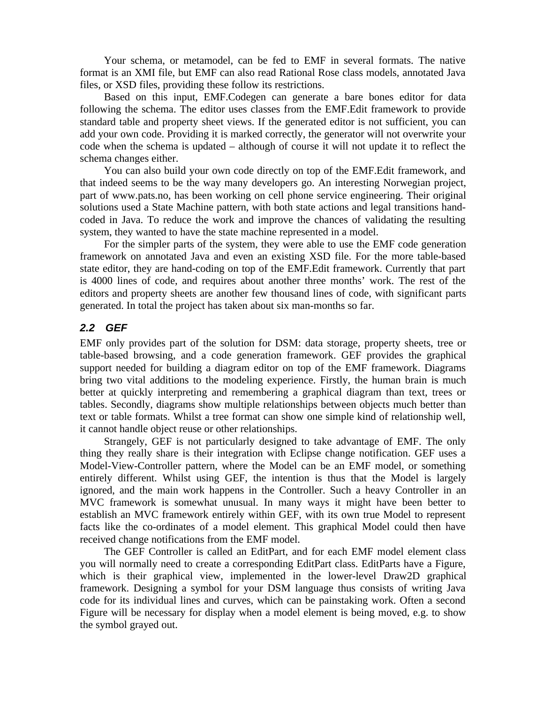Your schema, or metamodel, can be fed to EMF in several formats. The native format is an XMI file, but EMF can also read Rational Rose class models, annotated Java files, or XSD files, providing these follow its restrictions.

Based on this input, EMF.Codegen can generate a bare bones editor for data following the schema. The editor uses classes from the EMF.Edit framework to provide standard table and property sheet views. If the generated editor is not sufficient, you can add your own code. Providing it is marked correctly, the generator will not overwrite your code when the schema is updated – although of course it will not update it to reflect the schema changes either.

You can also build your own code directly on top of the EMF.Edit framework, and that indeed seems to be the way many developers go. An interesting Norwegian project, part of www.pats.no, has been working on cell phone service engineering. Their original solutions used a State Machine pattern, with both state actions and legal transitions handcoded in Java. To reduce the work and improve the chances of validating the resulting system, they wanted to have the state machine represented in a model.

For the simpler parts of the system, they were able to use the EMF code generation framework on annotated Java and even an existing XSD file. For the more table-based state editor, they are hand-coding on top of the EMF.Edit framework. Currently that part is 4000 lines of code, and requires about another three months' work. The rest of the editors and property sheets are another few thousand lines of code, with significant parts generated. In total the project has taken about six man-months so far.

#### *2.2 GEF*

EMF only provides part of the solution for DSM: data storage, property sheets, tree or table-based browsing, and a code generation framework. GEF provides the graphical support needed for building a diagram editor on top of the EMF framework. Diagrams bring two vital additions to the modeling experience. Firstly, the human brain is much better at quickly interpreting and remembering a graphical diagram than text, trees or tables. Secondly, diagrams show multiple relationships between objects much better than text or table formats. Whilst a tree format can show one simple kind of relationship well, it cannot handle object reuse or other relationships.

Strangely, GEF is not particularly designed to take advantage of EMF. The only thing they really share is their integration with Eclipse change notification. GEF uses a Model-View-Controller pattern, where the Model can be an EMF model, or something entirely different. Whilst using GEF, the intention is thus that the Model is largely ignored, and the main work happens in the Controller. Such a heavy Controller in an MVC framework is somewhat unusual. In many ways it might have been better to establish an MVC framework entirely within GEF, with its own true Model to represent facts like the co-ordinates of a model element. This graphical Model could then have received change notifications from the EMF model.

The GEF Controller is called an EditPart, and for each EMF model element class you will normally need to create a corresponding EditPart class. EditParts have a Figure, which is their graphical view, implemented in the lower-level Draw2D graphical framework. Designing a symbol for your DSM language thus consists of writing Java code for its individual lines and curves, which can be painstaking work. Often a second Figure will be necessary for display when a model element is being moved, e.g. to show the symbol grayed out.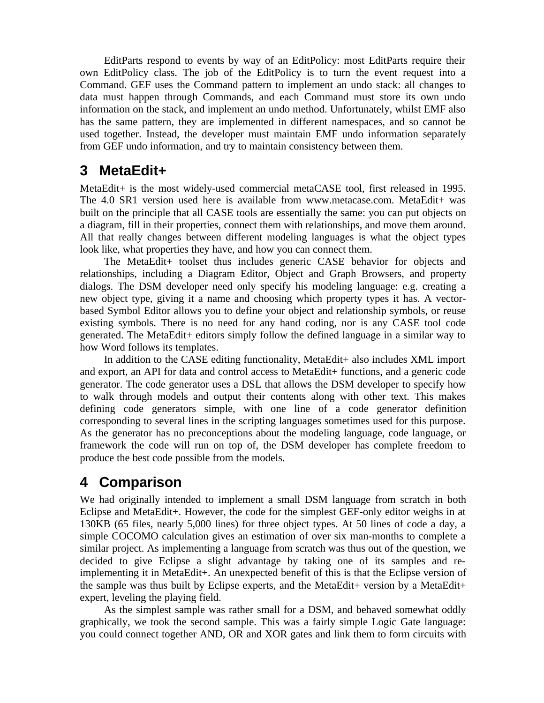EditParts respond to events by way of an EditPolicy: most EditParts require their own EditPolicy class. The job of the EditPolicy is to turn the event request into a Command. GEF uses the Command pattern to implement an undo stack: all changes to data must happen through Commands, and each Command must store its own undo information on the stack, and implement an undo method. Unfortunately, whilst EMF also has the same pattern, they are implemented in different namespaces, and so cannot be used together. Instead, the developer must maintain EMF undo information separately from GEF undo information, and try to maintain consistency between them.

# **3 MetaEdit+**

MetaEdit+ is the most widely-used commercial metaCASE tool, first released in 1995. The 4.0 SR1 version used here is available from www.metacase.com. MetaEdit+ was built on the principle that all CASE tools are essentially the same: you can put objects on a diagram, fill in their properties, connect them with relationships, and move them around. All that really changes between different modeling languages is what the object types look like, what properties they have, and how you can connect them.

The MetaEdit+ toolset thus includes generic CASE behavior for objects and relationships, including a Diagram Editor, Object and Graph Browsers, and property dialogs. The DSM developer need only specify his modeling language: e.g. creating a new object type, giving it a name and choosing which property types it has. A vectorbased Symbol Editor allows you to define your object and relationship symbols, or reuse existing symbols. There is no need for any hand coding, nor is any CASE tool code generated. The MetaEdit+ editors simply follow the defined language in a similar way to how Word follows its templates.

In addition to the CASE editing functionality, MetaEdit+ also includes XML import and export, an API for data and control access to MetaEdit+ functions, and a generic code generator. The code generator uses a DSL that allows the DSM developer to specify how to walk through models and output their contents along with other text. This makes defining code generators simple, with one line of a code generator definition corresponding to several lines in the scripting languages sometimes used for this purpose. As the generator has no preconceptions about the modeling language, code language, or framework the code will run on top of, the DSM developer has complete freedom to produce the best code possible from the models.

# **4 Comparison**

We had originally intended to implement a small DSM language from scratch in both Eclipse and MetaEdit+. However, the code for the simplest GEF-only editor weighs in at 130KB (65 files, nearly 5,000 lines) for three object types. At 50 lines of code a day, a simple COCOMO calculation gives an estimation of over six man-months to complete a similar project. As implementing a language from scratch was thus out of the question, we decided to give Eclipse a slight advantage by taking one of its samples and reimplementing it in MetaEdit+. An unexpected benefit of this is that the Eclipse version of the sample was thus built by Eclipse experts, and the MetaEdit+ version by a MetaEdit+ expert, leveling the playing field.

As the simplest sample was rather small for a DSM, and behaved somewhat oddly graphically, we took the second sample. This was a fairly simple Logic Gate language: you could connect together AND, OR and XOR gates and link them to form circuits with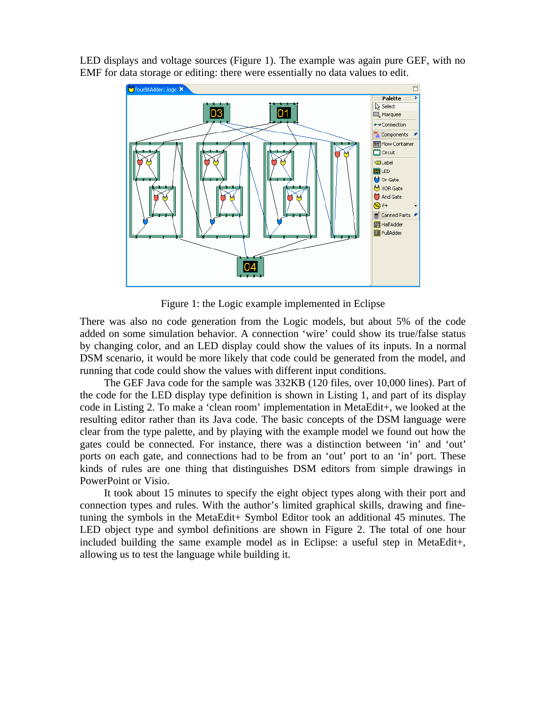LED displays and voltage sources (Figure 1). The example was again pure GEF, with no EMF for data storage or editing: there were essentially no data values to edit.



Figure 1: the Logic example implemented in Eclipse

There was also no code generation from the Logic models, but about 5% of the code added on some simulation behavior. A connection 'wire' could show its true/false status by changing color, and an LED display could show the values of its inputs. In a normal DSM scenario, it would be more likely that code could be generated from the model, and running that code could show the values with different input conditions.

The GEF Java code for the sample was 332KB (120 files, over 10,000 lines). Part of the code for the LED display type definition is shown in Listing 1, and part of its display code in Listing 2. To make a 'clean room' implementation in MetaEdit+, we looked at the resulting editor rather than its Java code. The basic concepts of the DSM language were clear from the type palette, and by playing with the example model we found out how the gates could be connected. For instance, there was a distinction between 'in' and 'out' ports on each gate, and connections had to be from an 'out' port to an 'in' port. These kinds of rules are one thing that distinguishes DSM editors from simple drawings in PowerPoint or Visio.

It took about 15 minutes to specify the eight object types along with their port and connection types and rules. With the author's limited graphical skills, drawing and finetuning the symbols in the MetaEdit+ Symbol Editor took an additional 45 minutes. The LED object type and symbol definitions are shown in Figure 2. The total of one hour included building the same example model as in Eclipse: a useful step in MetaEdit+, allowing us to test the language while building it.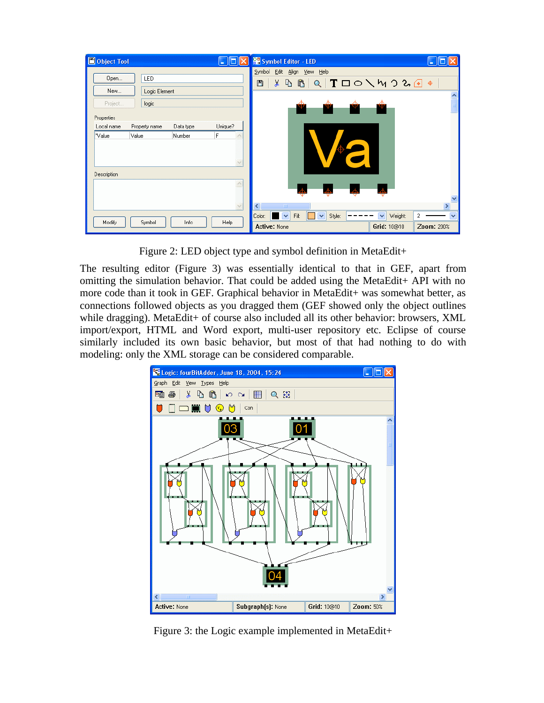| Object Tool           |               |           | <u> - 10</u>        | <b>PR</b> Symbol Editor - LED<br>н                                                                                                                                                |              |
|-----------------------|---------------|-----------|---------------------|-----------------------------------------------------------------------------------------------------------------------------------------------------------------------------------|--------------|
| Open                  | <b>LED</b>    |           |                     | Symbol Edit Align View Help<br>ঀঀৗঀৗৗৗঀৗৢঀৢ৽ড়ড়৽<br>$\delta$<br>■                                                                                                                |              |
| New<br>Logic Element  |               |           |                     |                                                                                                                                                                                   | ۸            |
| Project<br>Properties | logic         |           |                     | Ŧ<br>Ŧ<br>Ŧ                                                                                                                                                                       |              |
| Local name            | Property name | Data type | Unique?             |                                                                                                                                                                                   |              |
| "Value<br>Value       |               | Number    | F                   | $\begin{pmatrix} 1 \\ 1 \\ 1 \\ 1 \end{pmatrix}$                                                                                                                                  |              |
|                       |               |           | $\ddot{\mathbf{v}}$ | O                                                                                                                                                                                 |              |
| Description           |               |           |                     |                                                                                                                                                                                   |              |
|                       |               |           | $\wedge$            | $\overline{\mathbb{A}}$<br>Д<br>┻                                                                                                                                                 |              |
|                       |               |           | $\checkmark$        | ≺<br>$\blacksquare$                                                                                                                                                               |              |
| Modify                | Symbol        | Info      | Help                | $\overline{\mathbf{v}}$<br>$\overline{\mathbf{v}}$<br>$\blacktriangledown$<br>Fill:<br>Weight:<br>Color:<br>Style:<br>$\overline{2}$<br>Grid: 10@10<br>Active: None<br>Zoom: 200% | $\checkmark$ |

Figure 2: LED object type and symbol definition in MetaEdit+

The resulting editor (Figure 3) was essentially identical to that in GEF, apart from omitting the simulation behavior. That could be added using the MetaEdit+ API with no more code than it took in GEF. Graphical behavior in MetaEdit+ was somewhat better, as connections followed objects as you dragged them (GEF showed only the object outlines while dragging). MetaEdit+ of course also included all its other behavior: browsers, XML import/export, HTML and Word export, multi-user repository etc. Eclipse of course similarly included its own basic behavior, but most of that had nothing to do with modeling: only the XML storage can be considered comparable.



Figure 3: the Logic example implemented in MetaEdit+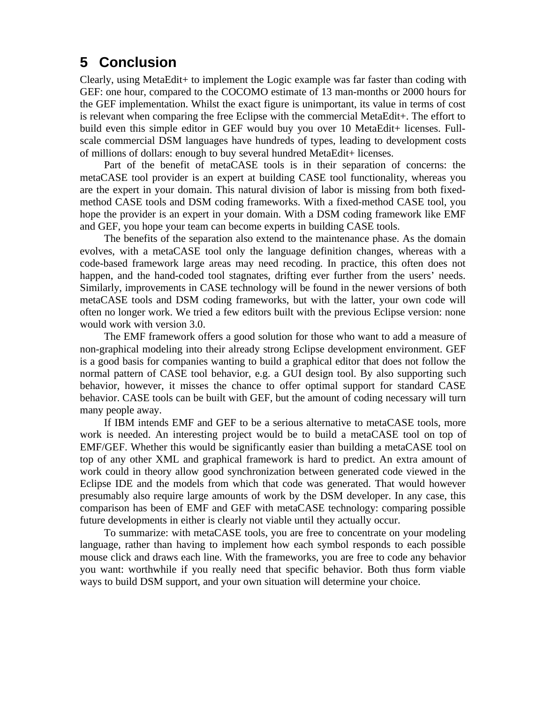# **5 Conclusion**

Clearly, using MetaEdit+ to implement the Logic example was far faster than coding with GEF: one hour, compared to the COCOMO estimate of 13 man-months or 2000 hours for the GEF implementation. Whilst the exact figure is unimportant, its value in terms of cost is relevant when comparing the free Eclipse with the commercial MetaEdit+. The effort to build even this simple editor in GEF would buy you over 10 MetaEdit+ licenses. Fullscale commercial DSM languages have hundreds of types, leading to development costs of millions of dollars: enough to buy several hundred MetaEdit+ licenses.

Part of the benefit of metaCASE tools is in their separation of concerns: the metaCASE tool provider is an expert at building CASE tool functionality, whereas you are the expert in your domain. This natural division of labor is missing from both fixedmethod CASE tools and DSM coding frameworks. With a fixed-method CASE tool, you hope the provider is an expert in your domain. With a DSM coding framework like EMF and GEF, you hope your team can become experts in building CASE tools.

The benefits of the separation also extend to the maintenance phase. As the domain evolves, with a metaCASE tool only the language definition changes, whereas with a code-based framework large areas may need recoding. In practice, this often does not happen, and the hand-coded tool stagnates, drifting ever further from the users' needs. Similarly, improvements in CASE technology will be found in the newer versions of both metaCASE tools and DSM coding frameworks, but with the latter, your own code will often no longer work. We tried a few editors built with the previous Eclipse version: none would work with version 3.0.

The EMF framework offers a good solution for those who want to add a measure of non-graphical modeling into their already strong Eclipse development environment. GEF is a good basis for companies wanting to build a graphical editor that does not follow the normal pattern of CASE tool behavior, e.g. a GUI design tool. By also supporting such behavior, however, it misses the chance to offer optimal support for standard CASE behavior. CASE tools can be built with GEF, but the amount of coding necessary will turn many people away.

If IBM intends EMF and GEF to be a serious alternative to metaCASE tools, more work is needed. An interesting project would be to build a metaCASE tool on top of EMF/GEF. Whether this would be significantly easier than building a metaCASE tool on top of any other XML and graphical framework is hard to predict. An extra amount of work could in theory allow good synchronization between generated code viewed in the Eclipse IDE and the models from which that code was generated. That would however presumably also require large amounts of work by the DSM developer. In any case, this comparison has been of EMF and GEF with metaCASE technology: comparing possible future developments in either is clearly not viable until they actually occur.

To summarize: with metaCASE tools, you are free to concentrate on your modeling language, rather than having to implement how each symbol responds to each possible mouse click and draws each line. With the frameworks, you are free to code any behavior you want: worthwhile if you really need that specific behavior. Both thus form viable ways to build DSM support, and your own situation will determine your choice.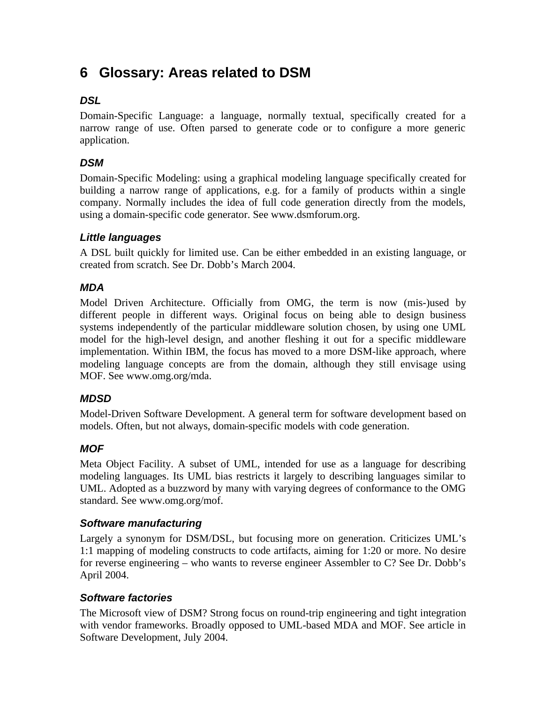# **6 Glossary: Areas related to DSM**

## *DSL*

Domain-Specific Language: a language, normally textual, specifically created for a narrow range of use. Often parsed to generate code or to configure a more generic application.

## *DSM*

Domain-Specific Modeling: using a graphical modeling language specifically created for building a narrow range of applications, e.g. for a family of products within a single company. Normally includes the idea of full code generation directly from the models, using a domain-specific code generator. See www.dsmforum.org.

### *Little languages*

A DSL built quickly for limited use. Can be either embedded in an existing language, or created from scratch. See Dr. Dobb's March 2004.

## *MDA*

Model Driven Architecture. Officially from OMG, the term is now (mis-)used by different people in different ways. Original focus on being able to design business systems independently of the particular middleware solution chosen, by using one UML model for the high-level design, and another fleshing it out for a specific middleware implementation. Within IBM, the focus has moved to a more DSM-like approach, where modeling language concepts are from the domain, although they still envisage using MOF. See www.omg.org/mda.

### *MDSD*

Model-Driven Software Development. A general term for software development based on models. Often, but not always, domain-specific models with code generation.

### *MOF*

Meta Object Facility. A subset of UML, intended for use as a language for describing modeling languages. Its UML bias restricts it largely to describing languages similar to UML. Adopted as a buzzword by many with varying degrees of conformance to the OMG standard. See www.omg.org/mof.

### *Software manufacturing*

Largely a synonym for DSM/DSL, but focusing more on generation. Criticizes UML's 1:1 mapping of modeling constructs to code artifacts, aiming for 1:20 or more. No desire for reverse engineering – who wants to reverse engineer Assembler to C? See Dr. Dobb's April 2004.

### *Software factories*

The Microsoft view of DSM? Strong focus on round-trip engineering and tight integration with vendor frameworks. Broadly opposed to UML-based MDA and MOF. See article in Software Development, July 2004.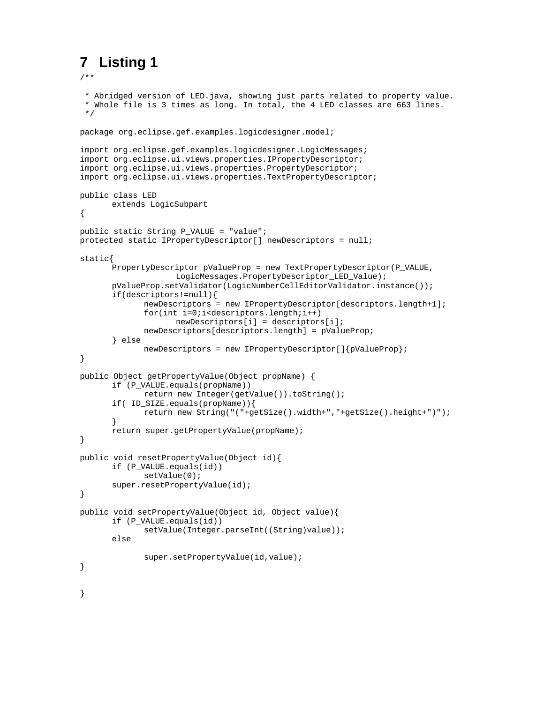# **7 Listing 1**

```
/**
  * Abridged version of LED.java, showing just parts related to property value.
  * Whole file is 3 times as long. In total, the 4 LED classes are 663 lines.
 */
package org.eclipse.gef.examples.logicdesigner.model;
import org.eclipse.gef.examples.logicdesigner.LogicMessages;
import org.eclipse.ui.views.properties.IPropertyDescriptor;
import org.eclipse.ui.views.properties.PropertyDescriptor;
import org.eclipse.ui.views.properties.TextPropertyDescriptor;
public class LED
      extends LogicSubpart
{
public static String P_VALUE = "value";
protected static IPropertyDescriptor[] newDescriptors = null;
static{
      PropertyDescriptor pValueProp = new TextPropertyDescriptor(P_VALUE,
                    LogicMessages.PropertyDescriptor_LED_Value);
      pValueProp.setValidator(LogicNumberCellEditorValidator.instance());
      if(descriptors!=null){
             newDescriptors = new IPropertyDescriptor[descriptors.length+1];
             for(int i=0;i<descriptors.length;i++)
                    newDescriptors[i] = descriptors[i];
             newDescriptors[descriptors.length] = pValueProp;
      } else
             newDescriptors = new IPropertyDescriptor[]{pValueProp};
}
public Object getPropertyValue(Object propName) {
      if (P_VALUE.equals(propName))
             return new Integer(getValue()).toString();
      if( ID_SIZE.equals(propName)){
             return new String("("+getSize().width+","+getSize().height+")");
       }
      return super.getPropertyValue(propName);
}
public void resetPropertyValue(Object id){
      if (P_VALUE.equals(id))
             setValue(0);
      super.resetPropertyValue(id);
}
public void setPropertyValue(Object id, Object value){
      if (P_VALUE.equals(id))
             setValue(Integer.parseInt((String)value));
      else
             super.setPropertyValue(id,value);
}
}
```